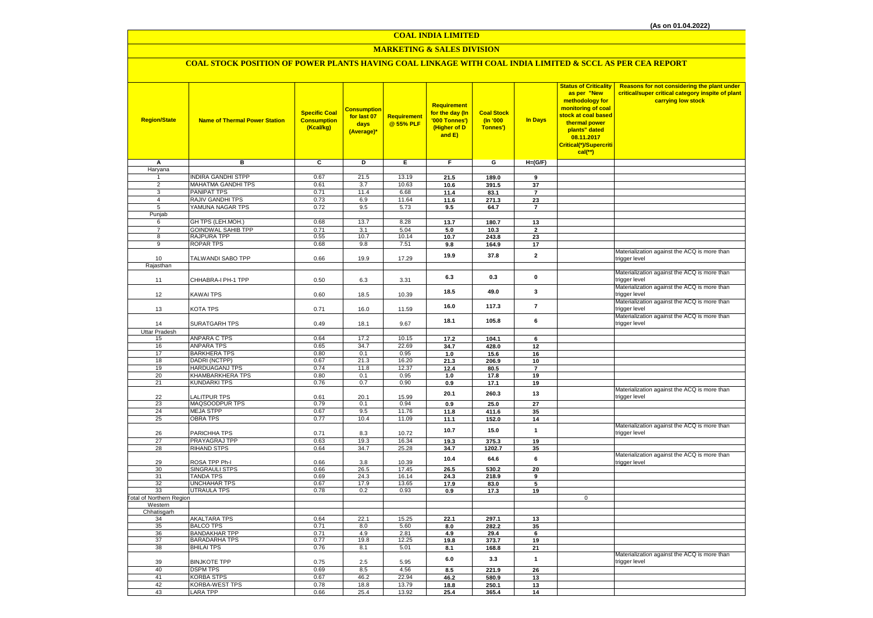# **MARKETING & SALES DIVISION**

# **COAL STOCK POSITION OF POWER PLANTS HAVING COAL LINKAGE WITH COAL INDIA LIMITED & SCCL AS PER CEA REPORT**

| <b>Region/State</b>              | <b>Name of Thermal Power Station</b> | <b>Specific Coal</b><br><b>Consumption</b><br>(Kcal/kg) | Consumption<br>for last 07<br>days<br>(Average)* | Requirement<br>@ 55% PLF | Requirement<br>for the day (In<br>'000 Tonnes')<br>(Higher of D<br>and E) | <b>Coal Stock</b><br>(In '000<br>Tonnes') | <b>In Days</b>          | <b>Status of Criticality</b><br>as per "New<br>methodology for<br>monitoring of coal<br>stock at coal based<br>thermal power<br>plants" dated<br>08.11.2017<br>Critical(*)/Supercriti<br>$cal$ (**) | Reasons for not considering the plant under<br>critical/super critical category inspite of plant<br>carrying low stock |
|----------------------------------|--------------------------------------|---------------------------------------------------------|--------------------------------------------------|--------------------------|---------------------------------------------------------------------------|-------------------------------------------|-------------------------|-----------------------------------------------------------------------------------------------------------------------------------------------------------------------------------------------------|------------------------------------------------------------------------------------------------------------------------|
| Α                                | в                                    | c                                                       | D                                                | Е                        | F.                                                                        | G                                         | $H=(G/F)$               |                                                                                                                                                                                                     |                                                                                                                        |
| Haryana                          |                                      |                                                         |                                                  |                          |                                                                           |                                           |                         |                                                                                                                                                                                                     |                                                                                                                        |
| 1                                | <b>INDIRA GANDHI STPP</b>            | 0.67                                                    | 21.5                                             | 13.19                    | 21.5                                                                      | 189.0                                     | 9                       |                                                                                                                                                                                                     |                                                                                                                        |
| $\overline{2}$                   | MAHATMA GANDHI TPS                   | 0.61                                                    | 3.7                                              | 10.63                    | 10.6                                                                      | 391.5                                     | 37                      |                                                                                                                                                                                                     |                                                                                                                        |
| $\overline{3}$<br>$\overline{4}$ | PANIPAT TPS<br>RAJIV GANDHI TPS      | 0.71<br>0.73                                            | 11.4<br>6.9                                      | 6.68<br>11.64            | 11.4                                                                      | 83.1                                      | $\overline{7}$          |                                                                                                                                                                                                     |                                                                                                                        |
| 5                                | YAMUNA NAGAR TPS                     | 0.72                                                    | 9.5                                              | 5.73                     | 11.6                                                                      | 271.3                                     | 23<br>$\overline{7}$    |                                                                                                                                                                                                     |                                                                                                                        |
| Punjab                           |                                      |                                                         |                                                  |                          | 9.5                                                                       | 64.7                                      |                         |                                                                                                                                                                                                     |                                                                                                                        |
| 6                                | GH TPS (LEH.MOH.)                    | 0.68                                                    | 13.7                                             | 8.28                     | 13.7                                                                      | 180.7                                     | 13                      |                                                                                                                                                                                                     |                                                                                                                        |
| $\overline{7}$                   | <b>GOINDWAL SAHIB TPP</b>            | 0.71                                                    | 3.1                                              | 5.04                     | 5.0                                                                       | 10.3                                      | $\overline{2}$          |                                                                                                                                                                                                     |                                                                                                                        |
| 8                                | RAJPURA TPP                          | 0.55                                                    | 10.7                                             | 10.14                    | 10.7                                                                      | 243.8                                     | 23                      |                                                                                                                                                                                                     |                                                                                                                        |
| $\overline{9}$                   | <b>ROPAR TPS</b>                     | 0.68                                                    | 9.8                                              | 7.51                     | 9.8                                                                       | 164.9                                     | 17                      |                                                                                                                                                                                                     |                                                                                                                        |
| 10                               | TALWANDI SABO TPP                    | 0.66                                                    | 19.9                                             | 17.29                    | 19.9                                                                      | 37.8                                      | $\mathbf{2}$            |                                                                                                                                                                                                     | Materialization against the ACQ is more than<br>trigger level                                                          |
| Rajasthan                        |                                      |                                                         |                                                  |                          |                                                                           |                                           |                         |                                                                                                                                                                                                     |                                                                                                                        |
| 11                               | CHHABRA-I PH-1 TPP                   | 0.50                                                    | 6.3                                              | 3.31                     | 6.3                                                                       | 0.3                                       | $\mathbf 0$             |                                                                                                                                                                                                     | Materialization against the ACQ is more than<br>trigger level                                                          |
| 12                               | KAWAI TPS                            | 0.60                                                    | 18.5                                             | 10.39                    | 18.5                                                                      | 49.0                                      | 3                       |                                                                                                                                                                                                     | Materialization against the ACQ is more than<br>trigger level                                                          |
| 13                               | KOTA TPS                             | 0.71                                                    | 16.0                                             | 11.59                    | 16.0                                                                      | 117.3                                     | $\overline{7}$          |                                                                                                                                                                                                     | Materialization against the ACQ is more than<br>trigger level                                                          |
| 14                               | <b>SURATGARH TPS</b>                 | 0.49                                                    | 18.1                                             | 9.67                     | 18.1                                                                      | 105.8                                     | 6                       |                                                                                                                                                                                                     | Materialization against the ACQ is more than<br>trigger level                                                          |
| <b>Uttar Pradesh</b>             | <b>ANPARA C TPS</b>                  |                                                         |                                                  | 10.15                    |                                                                           |                                           |                         |                                                                                                                                                                                                     |                                                                                                                        |
| 15<br>16                         | <b>ANPARA TPS</b>                    | 0.64<br>0.65                                            | 17.2<br>34.7                                     | 22.69                    | 17.2<br>34.7                                                              | 104.1<br>428.0                            | 6<br>12                 |                                                                                                                                                                                                     |                                                                                                                        |
| 17                               | <b>BARKHERA TPS</b>                  | 0.80                                                    | 0.1                                              | 0.95                     | 1.0                                                                       | 15.6                                      | 16                      |                                                                                                                                                                                                     |                                                                                                                        |
| 18                               | DADRI (NCTPP)                        | 0.67                                                    | 21.3                                             | 16.20                    | 21.3                                                                      | 206.9                                     | 10                      |                                                                                                                                                                                                     |                                                                                                                        |
| 19                               | HARDUAGANJ TPS                       | 0.74                                                    | 11.8                                             | 12.37                    | 12.4                                                                      | 80.5                                      | $\overline{7}$          |                                                                                                                                                                                                     |                                                                                                                        |
| 20                               | KHAMBARKHERA TPS                     | 0.80                                                    | 0.1                                              | 0.95                     | 1.0                                                                       | 17.8                                      | 19                      |                                                                                                                                                                                                     |                                                                                                                        |
| 21                               | <b>KUNDARKI TPS</b>                  | 0.76                                                    | 0.7                                              | 0.90                     | 0.9                                                                       | 17.1                                      | 19                      |                                                                                                                                                                                                     |                                                                                                                        |
| 22                               | <b>ALITPUR TPS</b>                   | 0.61                                                    | 20.1                                             | 15.99                    | 20.1                                                                      | 260.3                                     | 13                      |                                                                                                                                                                                                     | Materialization against the ACQ is more than<br>trigger level                                                          |
| 23                               | MAQSOODPUR TPS                       | 0.79                                                    | 0.1                                              | 0.94                     | 0.9                                                                       | 25.0                                      | 27                      |                                                                                                                                                                                                     |                                                                                                                        |
| 24                               | <b>MEJA STPP</b>                     | 0.67                                                    | 9.5                                              | 11.76                    | 11.8                                                                      | 411.6                                     | 35                      |                                                                                                                                                                                                     |                                                                                                                        |
| 25                               | <b>OBRA TPS</b>                      | 0.77                                                    | 10.4                                             | 11.09                    | 11.1                                                                      | 152.0                                     | 14                      |                                                                                                                                                                                                     |                                                                                                                        |
| 26                               | PARICHHA TPS                         | 0.71                                                    | 8.3                                              | 10.72                    | 10.7                                                                      | 15.0                                      | $\mathbf{1}$            |                                                                                                                                                                                                     | Materialization against the ACQ is more than<br>trigger level                                                          |
| 27<br>28                         | PRAYAGRAJ TPP                        | 0.63                                                    | 19.3                                             | 16.34                    | 19.3                                                                      | 375.3                                     | 19                      |                                                                                                                                                                                                     |                                                                                                                        |
|                                  | <b>RIHAND STPS</b>                   | 0.64                                                    | 34.7                                             | 25.28                    | 34.7                                                                      | 1202.7                                    | 35                      |                                                                                                                                                                                                     | Materialization against the ACQ is more than                                                                           |
| 29<br>30                         | ROSA TPP Ph-I<br>SINGRAULI STPS      | 0.66<br>0.66                                            | 3.8<br>26.5                                      | 10.39<br>17.45           | 10.4<br>26.5                                                              | 64.6<br>530.2                             | 6<br>20                 |                                                                                                                                                                                                     | trigger level                                                                                                          |
| 31                               | <b>TANDA TPS</b>                     | 0.69                                                    | 24.3                                             | 16.14                    | 24.3                                                                      | 218.9                                     | 9                       |                                                                                                                                                                                                     |                                                                                                                        |
| 32                               | UNCHAHAR TPS                         | 0.67                                                    | 17.9                                             | 13.65                    | 17.9                                                                      | 83.0                                      | $\overline{\mathbf{5}}$ |                                                                                                                                                                                                     |                                                                                                                        |
| 33                               | <b>UTRAULA TPS</b>                   | 0.78                                                    | 0.2                                              | 0.93                     | 0.9                                                                       | 17.3                                      | 19                      |                                                                                                                                                                                                     |                                                                                                                        |
| <b>Total of Northern Region</b>  |                                      |                                                         |                                                  |                          |                                                                           |                                           |                         | $\mathbf 0$                                                                                                                                                                                         |                                                                                                                        |
| Western                          |                                      |                                                         |                                                  |                          |                                                                           |                                           |                         |                                                                                                                                                                                                     |                                                                                                                        |
| Chhatisgarh                      | <b>AKALTARA TPS</b>                  | 0.64                                                    | 22.1                                             | 15.25                    |                                                                           |                                           |                         |                                                                                                                                                                                                     |                                                                                                                        |
| 34<br>35                         | <b>BALCO TPS</b>                     | 0.71                                                    | 8.0                                              | 5.60                     | 22.1<br>8.0                                                               | 297.1<br>282.2                            | 13<br>35                |                                                                                                                                                                                                     |                                                                                                                        |
| 36                               | <b>BANDAKHAR TPP</b>                 | 0.71                                                    | 4.9                                              | 2.81                     | 4.9                                                                       | 29.4                                      | 6                       |                                                                                                                                                                                                     |                                                                                                                        |
| 37                               | <b>BARADARHA TPS</b>                 | 0.77                                                    | 19.8                                             | 12.25                    | 19.8                                                                      | 373.7                                     | 19                      |                                                                                                                                                                                                     |                                                                                                                        |
| 38                               | <b>BHILAI TPS</b>                    | 0.76                                                    | 8.1                                              | 5.01                     | 8.1                                                                       | 168.8                                     | 21                      |                                                                                                                                                                                                     |                                                                                                                        |
| 39                               | <b>BINJKOTE TPP</b>                  | 0.75                                                    | 2.5                                              | 5.95                     | 6.0                                                                       | 3.3                                       | $\mathbf{1}$            |                                                                                                                                                                                                     | Materialization against the ACQ is more than<br>trigger level                                                          |
| 40                               | <b>DSPM TPS</b>                      | 0.69                                                    | 8.5                                              | 4.56                     | 8.5                                                                       | 221.9                                     | 26                      |                                                                                                                                                                                                     |                                                                                                                        |
| 41                               | <b>KORBA STPS</b>                    | 0.67                                                    | 46.2                                             | 22.94                    | 46.2                                                                      | 580.9                                     | 13                      |                                                                                                                                                                                                     |                                                                                                                        |
| 42                               | KORBA-WEST TPS                       | 0.78                                                    | 18.8                                             | 13.79                    | 18.8                                                                      | 250.1                                     | 13                      |                                                                                                                                                                                                     |                                                                                                                        |
| 43                               | <b>LARA TPP</b>                      | 0.66                                                    | 25.4                                             | 13.92                    | 25.4                                                                      | 365.4                                     | 14                      |                                                                                                                                                                                                     |                                                                                                                        |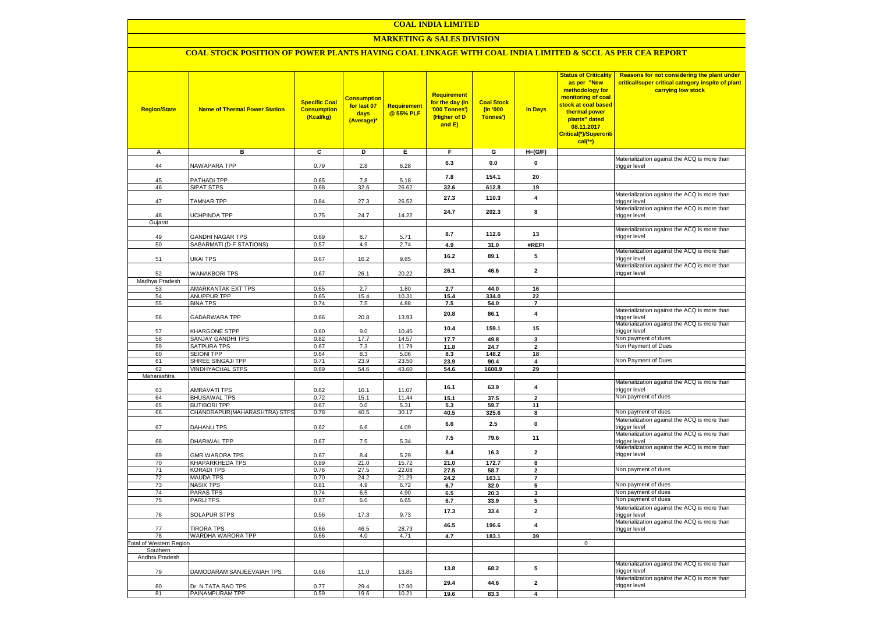## **MARKETING & SALES DIVISION**

## **COAL STOCK POSITION OF POWER PLANTS HAVING COAL LINKAGE WITH COAL INDIA LIMITED & SCCL AS PER CEA REPORT**

| <b>Region/State</b>        | <b>Name of Thermal Power Station</b>                | <b>Specific Coal</b><br><b>Consumption</b><br>(Kcal/kg) | <mark>Consumption</mark><br>for last 07<br>days<br>(Average)* | <b>Requirement</b><br>@ 55% PLF | <b>Requirement</b><br>for the day (In<br>'000 Tonnes')<br>(Higher of D<br>and E) | <b>Coal Stock</b><br>$($ ln '000<br>Tonnes') | In Days                          | <b>Status of Criticality</b><br>as per "New<br>methodology for<br>monitoring of coal<br>stock at coal based<br>thermal power<br>plants" dated<br>08.11.2017<br>Critical(*)/Supercriti<br>$cal$ (**) | Reasons for not considering the plant under<br>critical/super critical category inspite of plant<br>carrying low stock |
|----------------------------|-----------------------------------------------------|---------------------------------------------------------|---------------------------------------------------------------|---------------------------------|----------------------------------------------------------------------------------|----------------------------------------------|----------------------------------|-----------------------------------------------------------------------------------------------------------------------------------------------------------------------------------------------------|------------------------------------------------------------------------------------------------------------------------|
| Α                          | в                                                   | С                                                       | D                                                             | Е                               | F.                                                                               | G                                            | $H=(G/F)$                        |                                                                                                                                                                                                     |                                                                                                                        |
| 44                         | <b>VAWAPARA TPP</b>                                 | 0.79                                                    | 2.8                                                           | 6.28                            | 6.3                                                                              | 0.0                                          | 0                                |                                                                                                                                                                                                     | Materialization against the ACQ is more than<br>trigger level                                                          |
|                            |                                                     |                                                         |                                                               |                                 | 7.8                                                                              | 154.1                                        | 20                               |                                                                                                                                                                                                     |                                                                                                                        |
| 45<br>46                   | <b>PATHADI TPP</b><br>SIPAT STPS                    | 0.65<br>0.68                                            | 7.8<br>32.6                                                   | 5.18<br>26.62                   | 32.6                                                                             | 612.8                                        | 19                               |                                                                                                                                                                                                     |                                                                                                                        |
| 47                         | <b>TAMNAR TPP</b>                                   | 0.84                                                    | 27.3                                                          | 26.52                           | 27.3                                                                             | 110.3                                        | $\overline{\mathbf{4}}$          |                                                                                                                                                                                                     | Materialization against the ACQ is more than<br>trigger level                                                          |
| 48                         | <b>JCHPINDA TPP</b>                                 | 0.75                                                    | 24.7                                                          | 14.22                           | 24.7                                                                             | 202.3                                        | 8                                |                                                                                                                                                                                                     | Materialization against the ACQ is more than<br>trigger level                                                          |
| Gujarat                    |                                                     |                                                         |                                                               |                                 |                                                                                  |                                              |                                  |                                                                                                                                                                                                     |                                                                                                                        |
|                            |                                                     |                                                         |                                                               |                                 | 8.7                                                                              | 112.6                                        | 13                               |                                                                                                                                                                                                     | Materialization against the ACQ is more than                                                                           |
| 49<br>50                   | <b>GANDHI NAGAR TPS</b><br>SABARMATI (D-F STATIONS) | 0.69<br>0.57                                            | 8.7<br>4.9                                                    | 5.71<br>2.74                    | 4.9                                                                              |                                              | #REF!                            |                                                                                                                                                                                                     | trigger level                                                                                                          |
|                            |                                                     |                                                         |                                                               |                                 |                                                                                  | 31.0                                         |                                  |                                                                                                                                                                                                     | Materialization against the ACQ is more than                                                                           |
| 51                         | <b>JKAI TPS</b>                                     | 0.67                                                    | 16.2                                                          | 9.85                            | 16.2                                                                             | 89.1                                         | 5                                |                                                                                                                                                                                                     | trigger level<br>Materialization against the ACQ is more than                                                          |
| 52<br>Madhya Pradesh       | <b>WANAKBORI TPS</b>                                | 0.67                                                    | 26.1                                                          | 20.22                           | 26.1                                                                             | 46.6                                         | $\mathbf{2}$                     |                                                                                                                                                                                                     | trigger level                                                                                                          |
| 53                         | AMARKANTAK EXT TPS                                  | 0.65                                                    | 2.7                                                           | 1.80                            | 2.7                                                                              | 44.0                                         | 16                               |                                                                                                                                                                                                     |                                                                                                                        |
| 54                         | <b>ANUPPUR TPP</b>                                  | 0.65                                                    | 15.4                                                          | 10.31                           | 15.4                                                                             | 334.0                                        | 22                               |                                                                                                                                                                                                     |                                                                                                                        |
| 55                         | <b>BINA TPS</b>                                     | 0.74                                                    | 7.5                                                           | 4.88                            | 7.5                                                                              | 54.0                                         | $\overline{7}$                   |                                                                                                                                                                                                     |                                                                                                                        |
| 56                         | GADARWARA TPP                                       | 0.66                                                    | 20.8                                                          | 13.93                           | 20.8                                                                             | 86.1                                         | $\overline{\mathbf{4}}$          |                                                                                                                                                                                                     | Materialization against the ACQ is more than<br>trigger level                                                          |
| 57                         | KHARGONE STPP                                       | 0.60                                                    | 9.0                                                           | 10.45                           | 10.4                                                                             | 159.1                                        | 15                               |                                                                                                                                                                                                     | Materialization against the ACQ is more than<br>trigger level                                                          |
| 58                         | SANJAY GANDHI TPS                                   | 0.82                                                    | 17.7                                                          | 14.57                           | 17.7                                                                             | 49.8                                         | 3                                |                                                                                                                                                                                                     | Non payment of dues                                                                                                    |
| 59                         | SATPURA TPS                                         | 0.67                                                    | 7.3                                                           | 11.79                           | 11.8                                                                             | 24.7                                         | $\overline{\mathbf{2}}$          |                                                                                                                                                                                                     | Non Payment of Dues                                                                                                    |
| 60                         | <b>SEIONI TPP</b><br>SHREE SINGAJI TPP              | 0.64<br>0.71                                            | 8.3                                                           | 5.06<br>23.50                   | 8.3                                                                              | 148.2                                        | 18                               |                                                                                                                                                                                                     | Non Payment of Dues                                                                                                    |
| 61<br>62                   | <b>VINDHYACHAL STPS</b>                             | 0.69                                                    | 23.9<br>54.6                                                  | 43.60                           | 23.9<br>54.6                                                                     | 90.4<br>1608.9                               | 4<br>29                          |                                                                                                                                                                                                     |                                                                                                                        |
| Maharashtra                |                                                     |                                                         |                                                               |                                 |                                                                                  |                                              |                                  |                                                                                                                                                                                                     |                                                                                                                        |
|                            |                                                     |                                                         |                                                               |                                 | 16.1                                                                             | 63.9                                         | 4                                |                                                                                                                                                                                                     | Materialization against the ACQ is more than                                                                           |
| 63                         | <b>AMRAVATI TPS</b>                                 | 0.62                                                    | 16.1                                                          | 11.07                           |                                                                                  |                                              |                                  |                                                                                                                                                                                                     | trigger level<br>Non payment of dues                                                                                   |
| 64<br>65                   | <b>BHUSAWAL TPS</b><br><b>BUTIBORI TPP</b>          | 0.72<br>0.67                                            | 15.1<br>0.0                                                   | 11.44<br>5.31                   | 15.1                                                                             | 37.5                                         | $\overline{\mathbf{2}}$<br>11    |                                                                                                                                                                                                     |                                                                                                                        |
| 66                         | CHANDRAPUR(MAHARASHTRA) STPS                        | 0.78                                                    | 40.5                                                          | 30.17                           | 5.3<br>40.5                                                                      | 59.7<br>325.6                                | $\overline{\mathbf{8}}$          |                                                                                                                                                                                                     | Non payment of dues                                                                                                    |
|                            |                                                     |                                                         |                                                               |                                 |                                                                                  |                                              |                                  |                                                                                                                                                                                                     | Materialization against the ACQ is more than                                                                           |
| 67                         | DAHANU TPS                                          | 0.62                                                    | $6.6\,$                                                       | 4.09                            | 6.6                                                                              | 2.5                                          | $\pmb{0}$                        |                                                                                                                                                                                                     | trigger level<br>Materialization against the ACQ is more than                                                          |
| 68                         | DHARIWAL TPP                                        | 0.67                                                    | 7.5                                                           | 5.34                            | $7.5$                                                                            | 79.6                                         | 11                               |                                                                                                                                                                                                     | trigger level<br>Materialization against the ACQ is more than                                                          |
| 69                         | <b>GMR WARORA TPS</b>                               | 0.67                                                    | 8.4                                                           | 5.29                            | 8.4                                                                              | 16.3                                         | $\overline{\mathbf{2}}$          |                                                                                                                                                                                                     | trigger level                                                                                                          |
| 70                         | KHAPARKHEDA TPS                                     | 0.89                                                    | 21.0                                                          | 15.72                           | 21.0                                                                             | 172.7                                        | 8                                |                                                                                                                                                                                                     | Non payment of dues                                                                                                    |
| 71<br>72                   | <b>KORADI TPS</b><br><b>MAUDA TPS</b>               | 0.76<br>0.70                                            | 27.5<br>24.2                                                  | 22.08<br>21.29                  | 27.5<br>24.2                                                                     | 58.7<br>163.1                                | $\overline{2}$<br>$\overline{7}$ |                                                                                                                                                                                                     |                                                                                                                        |
| 73                         | <b>NASIK TPS</b>                                    | 0.81                                                    | 4.9                                                           | 6.72                            | 6.7                                                                              | 32.0                                         | 5                                |                                                                                                                                                                                                     | Non payment of dues                                                                                                    |
| 74                         | <b>PARAS TPS</b>                                    | 0.74                                                    | 6.5                                                           | 4.90                            | 6.5                                                                              | 20.3                                         | 3                                |                                                                                                                                                                                                     | Non payment of dues                                                                                                    |
| 75                         | <b>PARLITPS</b>                                     | 0.67                                                    | 6.0                                                           | 6.65                            | 6.7                                                                              | 33.9                                         | 5                                |                                                                                                                                                                                                     | Non payment of dues                                                                                                    |
| 76                         | <b>SOLAPUR STPS</b>                                 | 0.56                                                    | 17.3                                                          | 9.73                            | 17.3                                                                             | 33.4                                         | $\overline{\mathbf{2}}$          |                                                                                                                                                                                                     | Materialization against the ACQ is more than<br>trigger level                                                          |
| 77                         | <b>TIRORA TPS</b>                                   | 0.66                                                    | 46.5                                                          | 28.73                           | 46.5                                                                             | 196.6                                        | $\overline{\mathbf{4}}$          |                                                                                                                                                                                                     | Materialization against the ACQ is more than<br>trigger level                                                          |
| 78                         | WARDHA WARORA TPP                                   | 0.66                                                    | 4.0                                                           | 4.71                            | 4.7                                                                              | 183.1                                        | 39                               |                                                                                                                                                                                                     |                                                                                                                        |
| otal of Western Region     |                                                     |                                                         |                                                               |                                 |                                                                                  |                                              |                                  | $\mathbf 0$                                                                                                                                                                                         |                                                                                                                        |
| Southern<br>Andhra Pradesh |                                                     |                                                         |                                                               |                                 |                                                                                  |                                              |                                  |                                                                                                                                                                                                     |                                                                                                                        |
| 79                         | DAMODARAM SANJEEVAIAH TPS                           | 0.66                                                    | 11.0                                                          | 13.85                           | 13.8                                                                             | 68.2                                         | 5                                |                                                                                                                                                                                                     | Materialization against the ACQ is more than<br>trigger level                                                          |
| 80                         | Dr. N.TATA RAO TPS                                  | 0.77                                                    | 29.4                                                          | 17.90                           | 29.4                                                                             | 44.6                                         | $\mathbf{2}$                     |                                                                                                                                                                                                     | Materialization against the ACQ is more than<br>trigger level                                                          |
| 81                         | PAINAMPURAM TPP                                     | 0.59                                                    | 19.6                                                          | 10.21                           | 19.6                                                                             | 83.3                                         | 4                                |                                                                                                                                                                                                     |                                                                                                                        |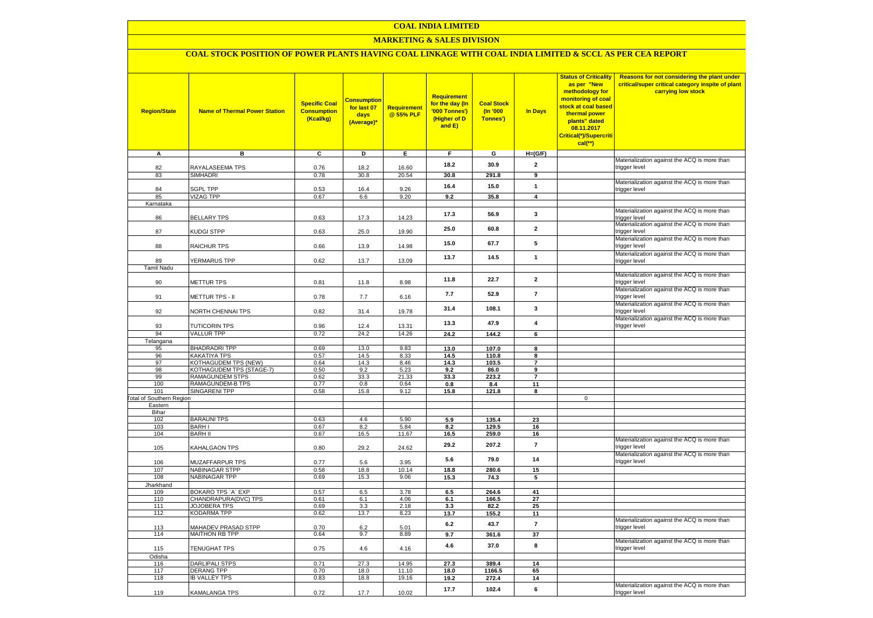#### **MARKETING & SALES DIVISION**

# **COAL STOCK POSITION OF POWER PLANTS HAVING COAL LINKAGE WITH COAL INDIA LIMITED & SCCL AS PER CEA REPORT**

| <b>Region/State</b>             | <b>Name of Thermal Power Station</b>       | <b>Specific Coal</b><br><b>Consumption</b><br>(Kcal/kg) | <mark>Consumption</mark><br>for last 07<br>days<br>(Average)* | <b>Requirement</b><br>@ 55% PLF | <b>Requirement</b><br>for the day (In<br>'000 Tonnes')<br>(Higher of D<br>and E) | <b>Coal Stock</b><br>(In '000<br>Tonnes') | <b>In Days</b>          | <b>Status of Criticality</b><br>as per "New<br>methodology for<br>monitoring of coal<br>stock at coal based<br>thermal power<br>plants" dated<br>08.11.2017<br>Critical(*)/Supercriti<br>$cal$ (**) | Reasons for not considering the plant under<br>critical/super critical category inspite of plant<br>carrying low stock |
|---------------------------------|--------------------------------------------|---------------------------------------------------------|---------------------------------------------------------------|---------------------------------|----------------------------------------------------------------------------------|-------------------------------------------|-------------------------|-----------------------------------------------------------------------------------------------------------------------------------------------------------------------------------------------------|------------------------------------------------------------------------------------------------------------------------|
| A                               | в                                          | С                                                       | D                                                             | Е                               | F.                                                                               | G                                         | $H=(G/F)$               |                                                                                                                                                                                                     |                                                                                                                        |
| 82                              | RAYALASEEMA TPS                            | 0.76                                                    | 18.2                                                          | 16.60                           | 18.2                                                                             | 30.9                                      | $\mathbf{2}$            |                                                                                                                                                                                                     | Materialization against the ACQ is more than<br>trigger level                                                          |
| 83                              | SIMHADRI                                   | 0.78                                                    | 30.8                                                          | 20.54                           | 30.8                                                                             | 291.8                                     | 9                       |                                                                                                                                                                                                     |                                                                                                                        |
|                                 |                                            |                                                         |                                                               |                                 |                                                                                  |                                           |                         |                                                                                                                                                                                                     | Materialization against the ACQ is more than                                                                           |
| 84                              | <b>SGPL TPP</b>                            | 0.53                                                    | 16.4                                                          | 9.26                            | 16.4                                                                             | 15.0                                      | $\mathbf{1}$            |                                                                                                                                                                                                     | trigger level                                                                                                          |
| 85                              | <b>VIZAG TPP</b>                           | 0.67                                                    | 6.6                                                           | 9.20                            | 9.2                                                                              | 35.8                                      | $\overline{\mathbf{4}}$ |                                                                                                                                                                                                     |                                                                                                                        |
| Karnataka                       |                                            |                                                         |                                                               |                                 |                                                                                  |                                           |                         |                                                                                                                                                                                                     | Materialization against the ACQ is more than                                                                           |
| 86                              | <b>BELLARY TPS</b>                         | 0.63                                                    | 17.3                                                          | 14.23                           | 17.3                                                                             | 56.9                                      | 3                       |                                                                                                                                                                                                     | trigger level                                                                                                          |
| 87                              | KUDGI STPP                                 | 0.63                                                    | 25.0                                                          | 19.90                           | 25.0                                                                             | 60.8                                      | $\mathbf{2}$            |                                                                                                                                                                                                     | Materialization against the ACQ is more than<br>trigger level                                                          |
| 88                              | RAICHUR TPS                                | 0.66                                                    | 13.9                                                          | 14.98                           | 15.0                                                                             | 67.7                                      | 5                       |                                                                                                                                                                                                     | Materialization against the ACQ is more than<br>trigger level                                                          |
|                                 |                                            |                                                         |                                                               |                                 | 13.7                                                                             | 14.5                                      | $\mathbf{1}$            |                                                                                                                                                                                                     | Materialization against the ACQ is more than                                                                           |
| 89<br><b>Tamil Nadu</b>         | <b>YERMARUS TPP</b>                        | 0.62                                                    | 13.7                                                          | 13.09                           |                                                                                  |                                           |                         |                                                                                                                                                                                                     | trigger level                                                                                                          |
|                                 |                                            |                                                         |                                                               |                                 | 11.8                                                                             | 22.7                                      | $\mathbf{2}$            |                                                                                                                                                                                                     | Materialization against the ACQ is more than                                                                           |
| 90                              | <b>METTUR TPS</b>                          | 0.81                                                    | 11.8                                                          | 8.98                            |                                                                                  |                                           |                         |                                                                                                                                                                                                     | trigger level<br>Materialization against the ACQ is more than                                                          |
| 91                              | METTUR TPS - II                            | 0.78                                                    | 7.7                                                           | 6.16                            | 7.7                                                                              | 52.9                                      | $\overline{7}$          |                                                                                                                                                                                                     | trigger level                                                                                                          |
| 92                              | <b>VORTH CHENNAI TPS</b>                   | 0.82                                                    | 31.4                                                          | 19.78                           | 31.4                                                                             | 108.1                                     | 3                       |                                                                                                                                                                                                     | Materialization against the ACQ is more than<br>trigger level                                                          |
| 93                              | <b>TUTICORIN TPS</b>                       | 0.96                                                    | 12.4                                                          | 13.31                           | 13.3                                                                             | 47.9                                      | 4                       |                                                                                                                                                                                                     | Materialization against the ACQ is more than<br>trigger level                                                          |
| 94                              | <b>VALLUR TPP</b>                          | 0.72                                                    | 24.2                                                          | 14.26                           | 24.2                                                                             | 144.2                                     | 6                       |                                                                                                                                                                                                     |                                                                                                                        |
| Telangana                       |                                            |                                                         |                                                               |                                 |                                                                                  |                                           |                         |                                                                                                                                                                                                     |                                                                                                                        |
| 95                              | <b>BHADRADRI TPP</b>                       | 0.69                                                    | 13.0                                                          | 9.83                            | 13.0                                                                             | 107.0                                     | 8                       |                                                                                                                                                                                                     |                                                                                                                        |
| 96<br>97                        | KAKATIYA TPS<br>KOTHAGUDEM TPS (NEW)       | 0.57<br>0.64                                            | 14.5<br>14.3                                                  | 8.33<br>8.46                    | 14.5<br>14.3                                                                     | 110.8<br>103.5                            | 8<br>$\overline{7}$     |                                                                                                                                                                                                     |                                                                                                                        |
| 98                              | KOTHAGUDEM TPS (STAGE-7)                   | 0.50                                                    | 9.2                                                           | 5.23                            | 9.2                                                                              | 86.0                                      | 9                       |                                                                                                                                                                                                     |                                                                                                                        |
| 99                              | RAMAGUNDEM STPS                            | 0.62                                                    | 33.3                                                          | 21.33                           | 33.3                                                                             | 223.2                                     | $\overline{7}$          |                                                                                                                                                                                                     |                                                                                                                        |
| 100                             | RAMAGUNDEM-B TPS                           | 0.77                                                    | 0.8                                                           | 0.64                            | 0.8                                                                              | 8.4                                       | 11                      |                                                                                                                                                                                                     |                                                                                                                        |
| 101                             | <b>SINGARENI TPP</b>                       | 0.58                                                    | 15.8                                                          | 9.12                            | 15.8                                                                             | 121.8                                     | 8                       |                                                                                                                                                                                                     |                                                                                                                        |
| <b>Fotal of Southern Region</b> |                                            |                                                         |                                                               |                                 |                                                                                  |                                           |                         | $\mathbf 0$                                                                                                                                                                                         |                                                                                                                        |
| Eastern<br>Bihar                |                                            |                                                         |                                                               |                                 |                                                                                  |                                           |                         |                                                                                                                                                                                                     |                                                                                                                        |
| 102                             | <b>BARAUNI TPS</b>                         | 0.63                                                    | 4.6                                                           | 5.90                            | 5.9                                                                              | 135.4                                     | 23                      |                                                                                                                                                                                                     |                                                                                                                        |
| 103                             | <b>BARHI</b>                               | 0.67                                                    | 8.2                                                           | 5.84                            | 8.2                                                                              | 129.5                                     | 16                      |                                                                                                                                                                                                     |                                                                                                                        |
| 104                             | <b>BARH II</b>                             | 0.67                                                    | 16.5                                                          | 11.67                           | 16.5                                                                             | 259.0                                     | 16                      |                                                                                                                                                                                                     |                                                                                                                        |
| 105                             | <b>KAHALGAON TPS</b>                       | 0.80                                                    | 29.2                                                          | 24.62                           | 29.2                                                                             | 207.2                                     | $\overline{7}$          |                                                                                                                                                                                                     | Materialization against the ACQ is more than<br>trigger level                                                          |
| 106                             | MUZAFFARPUR TPS                            | 0.77                                                    | 5.6                                                           | 3.95                            | 5.6                                                                              | 79.0                                      | 14                      |                                                                                                                                                                                                     | Materialization against the ACQ is more than<br>trigger level                                                          |
| 107                             | <b>NABINAGAR STPP</b>                      | 0.58                                                    | 18.8                                                          | 10.14                           | 18.8                                                                             | 280.6                                     | 15                      |                                                                                                                                                                                                     |                                                                                                                        |
| 108                             | <b>NABINAGAR TPP</b>                       | 0.69                                                    | 15.3                                                          | 9.06                            | 15.3                                                                             | 74.3                                      | 5                       |                                                                                                                                                                                                     |                                                                                                                        |
| Jharkhand<br>109                | BOKARO TPS `A` EXP                         | 0.57                                                    | 6.5                                                           | 3.78                            | 6.5                                                                              | 264.6                                     | 41                      |                                                                                                                                                                                                     |                                                                                                                        |
| 110                             | CHANDRAPURA(DVC) TPS                       | 0.61                                                    | 6.1                                                           | 4.06                            | 6.1                                                                              | 166.5                                     | 27                      |                                                                                                                                                                                                     |                                                                                                                        |
| 111                             | JOJOBERA TPS                               | 0.69                                                    | 3.3                                                           | 2.18                            | 3.3                                                                              | 82.2                                      | 25                      |                                                                                                                                                                                                     |                                                                                                                        |
| 112                             | KODARMA TPP                                | 0.62                                                    | 13.7                                                          | 8.23                            | 13.7                                                                             | 155.2                                     | 11                      |                                                                                                                                                                                                     |                                                                                                                        |
| 113                             | <b>MAHADEV PRASAD STPP</b>                 | 0.70                                                    | 6.2                                                           | 5.01                            | 6.2                                                                              | 43.7                                      | $\overline{\mathbf{r}}$ |                                                                                                                                                                                                     | Materialization against the ACQ is more than<br>trigger level                                                          |
| 114                             | <b>MAITHON RB TPP</b>                      | 0.64                                                    | 9.7                                                           | 8.89                            | 9.7                                                                              | 361.6                                     | 37                      |                                                                                                                                                                                                     | Materialization against the ACQ is more than                                                                           |
| 115                             | TENUGHAT TPS                               | 0.75                                                    | 4.6                                                           | 4.16                            | 4.6                                                                              | 37.0                                      | 8                       |                                                                                                                                                                                                     | trigger level                                                                                                          |
| Odisha                          |                                            | 0.71                                                    | 27.3                                                          | 14.95                           | 27.3                                                                             | 389.4                                     | 14                      |                                                                                                                                                                                                     |                                                                                                                        |
| 116<br>117                      | <b>DARLIPALI STPS</b><br><b>DERANG TPP</b> | 0.70                                                    | 18.0                                                          | 11.10                           | 18.0                                                                             | 1166.5                                    | 65                      |                                                                                                                                                                                                     |                                                                                                                        |
| 118                             | <b>IB VALLEY TPS</b>                       | 0.83                                                    | 18.8                                                          | 19.16                           | 19.2                                                                             | 272.4                                     | 14                      |                                                                                                                                                                                                     |                                                                                                                        |
|                                 |                                            |                                                         |                                                               |                                 |                                                                                  |                                           |                         |                                                                                                                                                                                                     | Materialization against the ACQ is more than                                                                           |
| 119                             | KAMALANGA TPS                              | 0.72                                                    | 17.7                                                          | 10.02                           | 17.7                                                                             | 102.4                                     | 6                       |                                                                                                                                                                                                     | trigger level                                                                                                          |